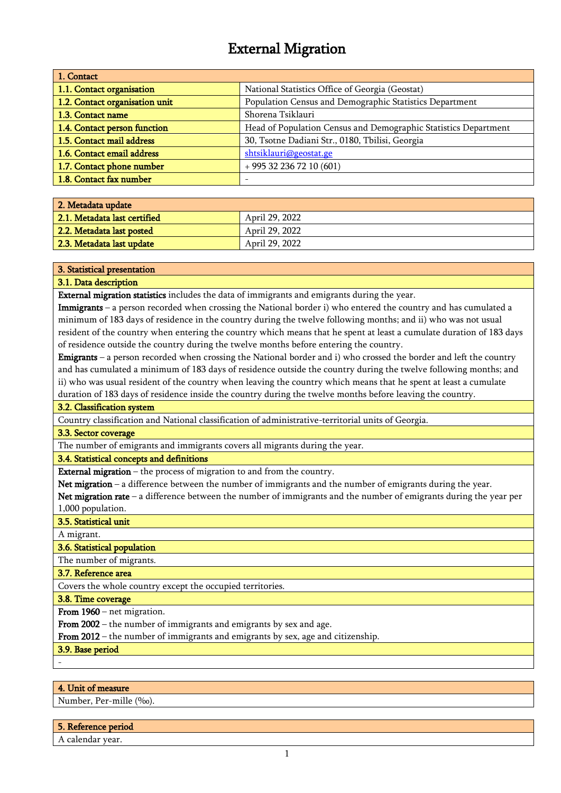# External Migration

| 1. Contact                     |                                                                 |
|--------------------------------|-----------------------------------------------------------------|
| 1.1. Contact organisation      | National Statistics Office of Georgia (Geostat)                 |
| 1.2. Contact organisation unit | Population Census and Demographic Statistics Department         |
| 1.3. Contact name              | Shorena Tsiklauri                                               |
| 1.4. Contact person function   | Head of Population Census and Demographic Statistics Department |
| 1.5. Contact mail address      | 30, Tsotne Dadiani Str., 0180, Tbilisi, Georgia                 |
| 1.6. Contact email address     | shtsiklauri@geostat.ge                                          |
| 1.7. Contact phone number      | $+995322367210(601)$                                            |
| 1.8. Contact fax number        |                                                                 |

| 2. Metadata update           |                |
|------------------------------|----------------|
| 2.1. Metadata last certified | April 29, 2022 |
| 2.2. Metadata last posted    | April 29, 2022 |
| 2.3. Metadata last update    | April 29, 2022 |

#### 3. Statistical presentation

#### 3.1. Data description

External migration statistics includes the data of immigrants and emigrants during the year.

Immigrants – a person recorded when crossing the National border i) who entered the country and has cumulated a minimum of 183 days of residence in the country during the twelve following months; and ii) who was not usual resident of the country when entering the country which means that he spent at least a cumulate duration of 183 days of residence outside the country during the twelve months before entering the country.

Emigrants – a person recorded when crossing the National border and i) who crossed the border and left the country and has cumulated a minimum of 183 days of residence outside the country during the twelve following months; and ii) who was usual resident of the country when leaving the country which means that he spent at least a cumulate duration of 183 days of residence inside the country during the twelve months before leaving the country.

#### 3.2. Classification system

Country classification and National classification of administrative-territorial units of Georgia.

#### 3.3. Sector coverage

The number of emigrants and immigrants covers all migrants during the year.

#### 3.4. Statistical concepts and definitions

External migration – the process of migration to and from the country.

Net migration – a difference between the number of immigrants and the number of emigrants during the year.

Net migration rate – a difference between the number of immigrants and the number of emigrants during the year per 1,000 population.

#### 3.5. Statistical unit

A migrant.

#### 3.6. Statistical population

The number of migrants.

3.7. Reference area

Covers the whole country except the occupied territories.

3.8. Time coverage

From 1960 – net migration.

From 2002 – the number of immigrants and emigrants by sex and age.

From 2012 – the number of immigrants and emigrants by sex, age and citizenship.

3.9. Base period

-

#### 4. Unit of measure

Number, Per-mille (‰).

## 5. Reference period

A calendar year.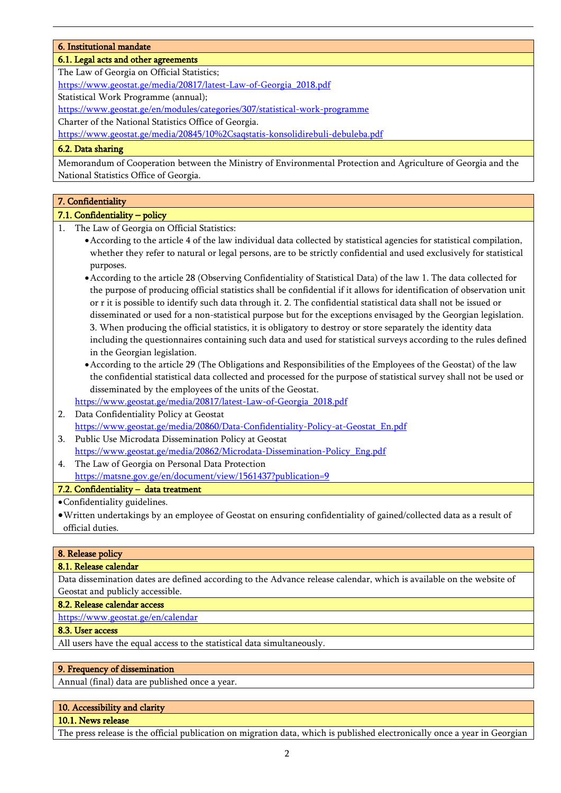#### 6. Institutional mandate

## 6.1. Legal acts and other agreements

The Law of Georgia on Official Statistics;

[https://www.geostat.ge/media/20817/latest-Law-of-Georgia\\_2018.pdf](https://www.geostat.ge/media/20817/latest-Law-of-Georgia_2018.pdf)

Statistical Work Programme (annual);

<https://www.geostat.ge/en/modules/categories/307/statistical-work-programme>

Charter of the National Statistics Office of Georgia.

https://www.geostat.ge/media/20845/10%2Csaqstatis-konsolidirebuli-debuleba.pdf

## 6.2. Data sharing

Memorandum of Cooperation between the Ministry of Environmental Protection and Agriculture of Georgia and the National Statistics Office of Georgia.

## 7. Confidentiality

## 7.1. Confidentiality – policy

- 1. The Law of Georgia on Official Statistics:
	- •According to the article 4 of the law individual data collected by statistical agencies for statistical compilation, whether they refer to natural or legal persons, are to be strictly confidential and used exclusively for statistical purposes.
	- •According to the article 28 (Observing Confidentiality of Statistical Data) of the law 1. The data collected for the purpose of producing official statistics shall be confidential if it allows for identification of observation unit or r it is possible to identify such data through it. 2. The confidential statistical data shall not be issued or disseminated or used for a non-statistical purpose but for the exceptions envisaged by the Georgian legislation. 3. When producing the official statistics, it is obligatory to destroy or store separately the identity data including the questionnaires containing such data and used for statistical surveys according to the rules defined in the Georgian legislation.
	- •According to the article 29 (The Obligations and Responsibilities of the Employees of the Geostat) of the law the confidential statistical data collected and processed for the purpose of statistical survey shall not be used or disseminated by the employees of the units of the Geostat. [https://www.geostat.ge/media/20817/latest-Law-of-Georgia\\_2018.pdf](https://www.geostat.ge/media/20817/latest-Law-of-Georgia_2018.pdf)
- 2. Data Confidentiality Policy at Geostat [https://www.geostat.ge/media/20860/Data-Confidentiality-Policy-at-Geostat\\_En.pdf](https://www.geostat.ge/media/20860/Data-Confidentiality-Policy-at-Geostat_En.pdf)
- 3. Public Use Microdata Dissemination Policy at Geostat [https://www.geostat.ge/media/20862/Microdata-Dissemination-Policy\\_Eng.pdf](https://www.geostat.ge/media/20862/Microdata-Dissemination-Policy_Eng.pdf)
- 4. The Law of Georgia on Personal Data Protection https://matsne.gov.ge/en/document/view/1561437?publication=9

## 7.2. Confidentiality – data treatment

- •Confidentiality guidelines.
- •Written undertakings by an employee of Geostat on ensuring confidentiality of gained/collected data as a result of official duties.

## 8. Release policy

## 8.1. Release calendar

Data dissemination dates are defined according to the Advance release calendar, which is available on the website of Geostat and publicly accessible.

8.2. Release calendar access

<https://www.geostat.ge/en/calendar>

## 8.3. User access

All users have the equal access to the statistical data simultaneously.

## 9. Frequency of dissemination

Annual (final) data are published once a year.

## 10. Accessibility and clarity

## 10.1. News release

The press release is the official publication on migration data, which is published electronically once a year in Georgian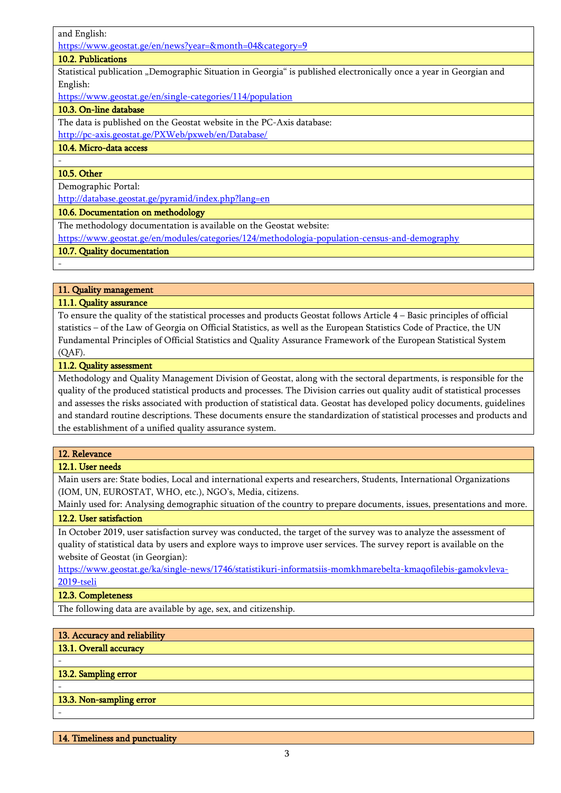and English:

<https://www.geostat.ge/en/news?year=&month=04&category=9>

## 10.2. Publications

Statistical publication "Demographic Situation in Georgia" is published electronically once a year in Georgian and English:

<https://www.geostat.ge/en/single-categories/114/population>

## 10.3. On-line database

The data is published on the Geostat website in the PC-Axis database:

<http://pc-axis.geostat.ge/PXWeb/pxweb/en/Database/>

## 10.4. Micro-data access

## 10.5. Other

-

-

Demographic Portal:

http://database.geostat.ge/pyramid/index.php?lang=en

#### 10.6. Documentation on methodology

The methodology documentation is available on the Geostat website:

<https://www.geostat.ge/en/modules/categories/124/methodologia-population-census-and-demography>

#### 10.7. Quality documentation

## 11. Quality management

## 11.1. Quality assurance

To ensure the quality of the statistical processes and products Geostat follows Article 4 – Basic principles of official statistics – of the Law of Georgia on Official Statistics, as well as the European Statistics Code of Practice, the UN Fundamental Principles of Official Statistics and Quality Assurance Framework of the European Statistical System (QAF).

## 11.2. Quality assessment

Methodology and Quality Management Division of Geostat, along with the sectoral departments, is responsible for the quality of the produced statistical products and processes. The Division carries out quality audit of statistical processes and assesses the risks associated with production of statistical data. Geostat has developed policy documents, guidelines and standard routine descriptions. These documents ensure the standardization of statistical processes and products and the establishment of a unified quality assurance system.

#### 12. Relevance

## 12.1. User needs

Main users are: State bodies, Local and international experts and researchers, Students, International Organizations (IOM, UN, EUROSTAT, WHO, etc.), NGO's, Media, citizens.

Mainly used for: Analysing demographic situation of the country to prepare documents, issues, presentations and more. 12.2. User satisfaction

In October 2019, user satisfaction survey was conducted, the target of the survey was to analyze the assessment of quality of statistical data by users and explore ways to improve user services. The survey report is available on the website of Geostat (in Georgian):

[https://www.geostat.ge/ka/single-news/1746/statistikuri-informatsiis-momkhmarebelta-kmaqofilebis-gamokvleva-](https://www.geostat.ge/ka/single-news/1746/statistikuri-informatsiis-momkhmarebelta-kmaqofilebis-gamokvleva-2019-tseli)[2019-tseli](https://www.geostat.ge/ka/single-news/1746/statistikuri-informatsiis-momkhmarebelta-kmaqofilebis-gamokvleva-2019-tseli)

## 12.3. Completeness

The following data are available by age, sex, and citizenship.

## 13. Accuracy and reliability

## 13.1. Overall accuracy

#### 13.2. Sampling error

-

-

-

## 13.3. Non-sampling error

14. Timeliness and punctuality